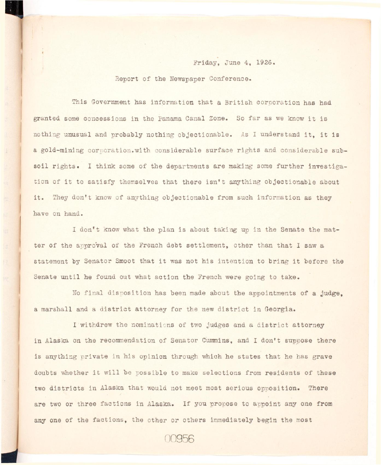Friday, June 4, 1926.

Report of the Newspaper Conference.

This Government has information that a British corporation has had granted some concessions in the Panama Canal Zone. So far as we know it is nothing unusual and probably nothing objectionable. As I understand it, it is a gold-mining corporation.with considerable surface rights and considerable subsoil rights. I think some of the departments are making some further investigation of it to satisfy themselves that there isn't anything objectionable about it. They don't know of anything objectionable from such information as they have on hand.

I don't know what the plan is about taking up in the Senate the matter of the approval of the French debt settlement, other than that I saw a statement by Senator Smoot that it was not his intention to bring it before the Senate until he found out what action the French were going to take.

No final disposition has been made about the appointments of a judge. a marshall and a district attorney for the new district in Georgia.

I withdrew the nominations of two judges and a district attorney in Alaska on the recommendation of Senator Cummins, and I don't suppose there is anything private in his opinion through which he states that he has grave doubts whether it will be possible to make selections from residents of these two districts in Alaska that would not meet most serious opposition. There are two or three factions in Alaska. If you propose to appoint any one from any one of the factions, the other or others immediately begin the most

00956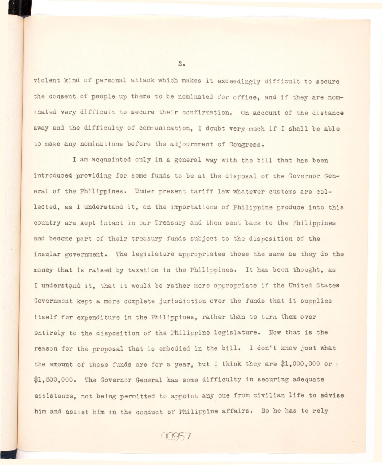violent kind of personal attack which makes it exceedingly difficult to secure the consent of people up there to be nominated for office, and if they are nominated very difficult to secure their confirmation. On account of the distance away and the difficulty of communication, I doubt very much if I shall be able to make any nominations before the adjournment of Congress.

I am acquainted only in a general way with the bill that has been introduced providing for some funds to be at the disposal of the Governor General of the Philippines. Under present tariff law whatever customs are collected, as I understand it, on the importations of Philippine produce into this country are kept intact in our Treasury and then sent back to the Philippines and become part of their treasury funds subject to the disposition of the insular government. The legislature appropriates those the same as they do the money that is raised by taxation in the Philippines. It has been thought, as I understand it, that it would be rather more appropriate if the United States Government kept a more complete jurisdiction over the funds that it supplies itself for expenditure in the Philippines, rather than to turn them over entirely to the disposition of the Philippine legislature. Now that is the reason for the proposal that is embodied in the bill. I don't know just what the amount of those funds are for a year, but I think they are \$1,000,000 or \$1,500,000. The Governor General has some difficulty in securing adequate assistance, not being permitted to appoint any one from civilian life to advise him and assist him in the conduct of Philippine affairs. So he has to rely

00957

 $2.$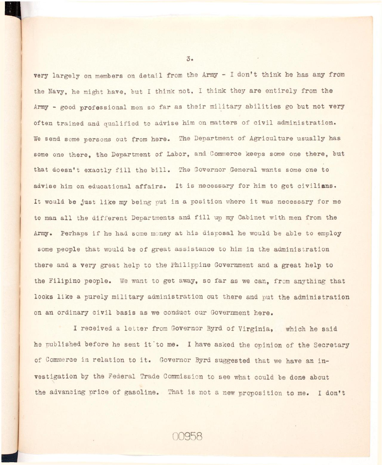very largely on members on detail from the Army - I don't think he has any from the Navy, he might have, but I think not, I think they are entirely from the Army - good professional men so far as their military abilities go but not very often trained and qualified to advise him on matters of civil administration. We send some persons out from here. The Department of Agriculture usually has some one there, the Department of Labor, and Commerce keeps some one there, but that doesn't exactly fill the bill. The Governor General wants some one to advise him on educational affairs. It is necessary for him to get civilians. It would be just like my being put in a position where it was necessary for me to man all the different Departments and fill up my Cabinet with men from the Army. Perhaps if he had some money at his disposal he would be able to employ some people that would be of great assistance to him in the administration there and a very great help to the Philippine Government and a great help to the Filipino people. We want to get away, so far as we can, from anything that looks like a purely military administration out there and put the administration on an ordinary civil basis as we conduct our Government here.

I received a letter from Governor Byrd of Virginia, which he said he published before he sent it to me. I have asked the opinion of the Secretary of Commerce in relation to it. Governor Byrd suggested that we have an investigation by the Federal Trade Commission to see what could be done about the advancing price of gasoline. That is not a new proposition to me. I don't

10958

 $\overline{3}$ .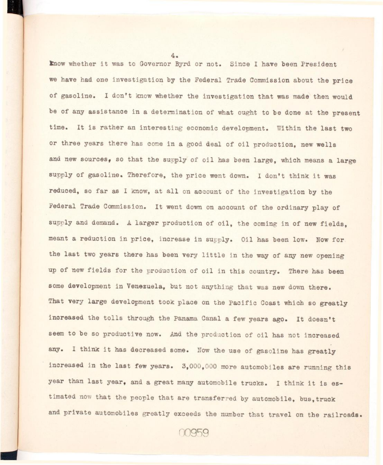Know whether it was to Governor Byrd or not. Since I have been President we have had one investigation by the Federal Trade Commission about the price of gasoline. I don't know whether the investigation that was made then would be of any assistance in a determination of what ought to be done at the present time. It is rather an interesting economic development. Within the last two or three years there has come in a good deal of oil production, new wells and new sources, so that the supply of oil has been large, which means a large supply of gasoline. Therefore, the price went down. I don't think it was reduced, so far as I know, at all on account of the investigation by the Federal Trade Commission. It went down on account of the ordinary play of supply and demand. A larger production of oil, the coming in of new fields. meant a reduction in price, increase in supply. Oil has been low. Now for the last two years there has been very little in the way of any new opening up of new fields for the production of oil in this country. There has been some development in Venezuela, but not anything that was new down there. That very large development took place on the Pacific Coast which so greatly increased the tolls through the Panama Canal a few years ago. It doesn't seem to be so productive now. And the production of oil has not increased any. I think it has decreased some. Now the use of gasoline has greatly increased in the last few years.  $3,000,000$  more automobiles are running this year than last year, and a great many automobile trucks. I think it is estimated now that the people that are transferred by automobile, bus,truck and private automobiles greatly exceeds the number that travel on the railroads.

4.

HI

00959